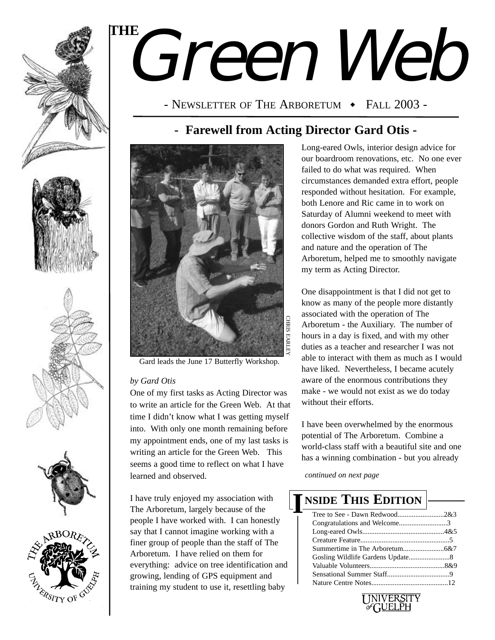

ERSITY OF C

# Green Web **THE**

- NEWSLETTER OF THE ARBORETUM  $\cdot$  Fall 2003 -

### **- Farewell from Acting Director Gard Otis -**



Gard leads the June 17 Butterfly Workshop.

### *by Gard Otis*

One of my first tasks as Acting Director was to write an article for the Green Web. At that time I didn't know what I was getting myself into. With only one month remaining before my appointment ends, one of my last tasks is writing an article for the Green Web. This seems a good time to reflect on what I have learned and observed.

I have truly enjoyed my association with The Arboretum, largely because of the people I have worked with. I can honestly say that I cannot imagine working with a finer group of people than the staff of The Arboretum. I have relied on them for everything: advice on tree identification and growing, lending of GPS equipment and training my student to use it, resettling baby

Long-eared Owls, interior design advice for our boardroom renovations, etc. No one ever failed to do what was required. When circumstances demanded extra effort, people responded without hesitation. For example, both Lenore and Ric came in to work on Saturday of Alumni weekend to meet with donors Gordon and Ruth Wright. The collective wisdom of the staff, about plants and nature and the operation of The Arboretum, helped me to smoothly navigate my term as Acting Director.

One disappointment is that I did not get to know as many of the people more distantly associated with the operation of The Arboretum - the Auxiliary. The number of hours in a day is fixed, and with my other duties as a teacher and researcher I was not able to interact with them as much as I would have liked. Nevertheless, I became acutely aware of the enormous contributions they make - we would not exist as we do today without their efforts.

I have been overwhelmed by the enormous potential of The Arboretum. Combine a world-class staff with a beautiful site and one has a winning combination - but you already

*continued on next page*

### Tree to See - Dawn Redwood..........................2&3 Congratulations and Welcome...........................3 Long-eared Owls..............................................4&5 Creature Feature..................................................5 Summertime in The Arboretum.......................6&7 Gosling Wildlife Gardens Update.......................8 Valuable Volunteers..........................................8&9 Sensational Summer Staff...................................9 **NSIDE THIS EDITION I**



Nature Centre Notes...........................................12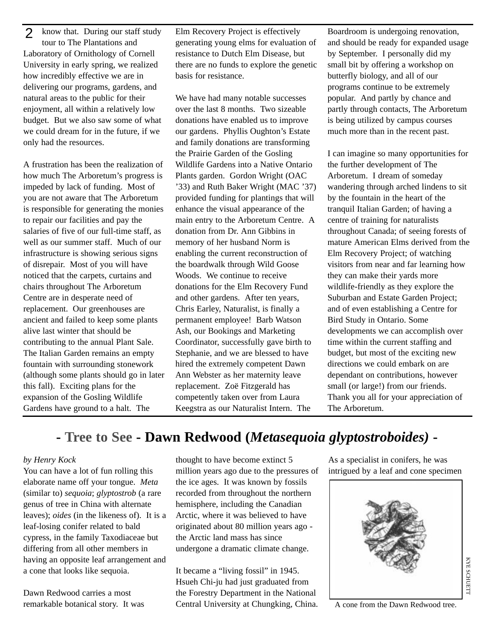know that. During our staff study tour to The Plantations and Laboratory of Ornithology of Cornell University in early spring, we realized how incredibly effective we are in delivering our programs, gardens, and natural areas to the public for their enjoyment, all within a relatively low budget. But we also saw some of what we could dream for in the future, if we only had the resources.  $\mathcal{P}$ 

A frustration has been the realization of how much The Arboretum's progress is impeded by lack of funding. Most of you are not aware that The Arboretum is responsible for generating the monies to repair our facilities and pay the salaries of five of our full-time staff, as well as our summer staff. Much of our infrastructure is showing serious signs of disrepair. Most of you will have noticed that the carpets, curtains and chairs throughout The Arboretum Centre are in desperate need of replacement. Our greenhouses are ancient and failed to keep some plants alive last winter that should be contributing to the annual Plant Sale. The Italian Garden remains an empty fountain with surrounding stonework (although some plants should go in later this fall). Exciting plans for the expansion of the Gosling Wildlife Gardens have ground to a halt. The

Elm Recovery Project is effectively generating young elms for evaluation of resistance to Dutch Elm Disease, but there are no funds to explore the genetic basis for resistance.

We have had many notable successes over the last 8 months. Two sizeable donations have enabled us to improve our gardens. Phyllis Oughton's Estate and family donations are transforming the Prairie Garden of the Gosling Wildlife Gardens into a Native Ontario Plants garden. Gordon Wright (OAC '33) and Ruth Baker Wright (MAC '37) provided funding for plantings that will enhance the visual appearance of the main entry to the Arboretum Centre. A donation from Dr. Ann Gibbins in memory of her husband Norm is enabling the current reconstruction of the boardwalk through Wild Goose Woods. We continue to receive donations for the Elm Recovery Fund and other gardens. After ten years, Chris Earley, Naturalist, is finally a permanent employee! Barb Watson Ash, our Bookings and Marketing Coordinator, successfully gave birth to Stephanie, and we are blessed to have hired the extremely competent Dawn Ann Webster as her maternity leave replacement. Zoë Fitzgerald has competently taken over from Laura Keegstra as our Naturalist Intern. The

Boardroom is undergoing renovation, and should be ready for expanded usage by September. I personally did my small bit by offering a workshop on butterfly biology, and all of our programs continue to be extremely popular. And partly by chance and partly through contacts, The Arboretum is being utilized by campus courses much more than in the recent past.

I can imagine so many opportunities for the further development of The Arboretum. I dream of someday wandering through arched lindens to sit by the fountain in the heart of the tranquil Italian Garden; of having a centre of training for naturalists throughout Canada; of seeing forests of mature American Elms derived from the Elm Recovery Project; of watching visitors from near and far learning how they can make their yards more wildlife-friendly as they explore the Suburban and Estate Garden Project; and of even establishing a Centre for Bird Study in Ontario. Some developments we can accomplish over time within the current staffing and budget, but most of the exciting new directions we could embark on are dependant on contributions, however small (or large!) from our friends. Thank you all for your appreciation of The Arboretum.

### **- Tree to See - Dawn Redwood (***Metasequoia glyptostroboides)* **-**

### *by Henry Kock*

You can have a lot of fun rolling this elaborate name off your tongue. *Meta* (similar to) *sequoia*; *glyptostrob* (a rare genus of tree in China with alternate leaves); *oides* (in the likeness of). It is a leaf-losing conifer related to bald cypress, in the family Taxodiaceae but differing from all other members in having an opposite leaf arrangement and a cone that looks like sequoia.

Dawn Redwood carries a most remarkable botanical story. It was

thought to have become extinct 5 million years ago due to the pressures of the ice ages. It was known by fossils recorded from throughout the northern hemisphere, including the Canadian Arctic, where it was believed to have originated about 80 million years ago the Arctic land mass has since undergone a dramatic climate change.

It became a "living fossil" in 1945. Hsueh Chi-ju had just graduated from the Forestry Department in the National Central University at Chungking, China. As a specialist in conifers, he was intrigued by a leaf and cone specimen



A cone from the Dawn Redwood tree.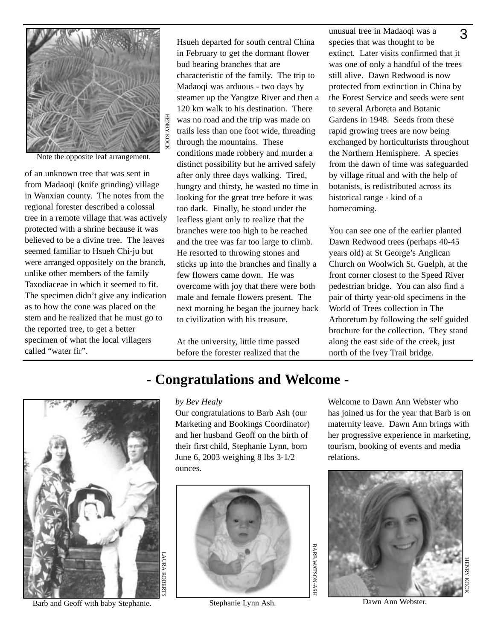

Note the opposite leaf arrangement.

of an unknown tree that was sent in from Madaoqi (knife grinding) village in Wanxian county. The notes from the regional forester described a colossal tree in a remote village that was actively protected with a shrine because it was believed to be a divine tree. The leaves seemed familiar to Hsueh Chi-ju but were arranged oppositely on the branch, unlike other members of the family Taxodiaceae in which it seemed to fit. The specimen didn't give any indication as to how the cone was placed on the stem and he realized that he must go to the reported tree, to get a better specimen of what the local villagers called "water fir".

Hsueh departed for south central China in February to get the dormant flower bud bearing branches that are characteristic of the family. The trip to Madaoqi was arduous - two days by steamer up the Yangtze River and then a 120 km walk to his destination. There was no road and the trip was made on trails less than one foot wide, threading through the mountains. These conditions made robbery and murder a distinct possibility but he arrived safely after only three days walking. Tired, hungry and thirsty, he wasted no time in looking for the great tree before it was too dark. Finally, he stood under the leafless giant only to realize that the branches were too high to be reached and the tree was far too large to climb. He resorted to throwing stones and sticks up into the branches and finally a few flowers came down. He was overcome with joy that there were both male and female flowers present. The next morning he began the journey back to civilization with his treasure. **Example 12**<br> **Example 12**<br> **Example 12**<br> **Example 12**<br> **Conditions made robbery and murder a**<br> **Conditions made robbery and murder a**<br> **Conditions made robbery and murder a**<br> **Conditions made robbery and murder a**<br> **Condi** 

At the university, little time passed before the forester realized that the

unusual tree in Madaoqi was a species that was thought to be extinct. Later visits confirmed that it was one of only a handful of the trees still alive. Dawn Redwood is now protected from extinction in China by the Forest Service and seeds were sent to several Arboreta and Botanic Gardens in 1948. Seeds from these rapid growing trees are now being exchanged by horticulturists throughout the Northern Hemisphere. A species from the dawn of time was safeguarded by village ritual and with the help of botanists, is redistributed across its historical range - kind of a homecoming. 3

You can see one of the earlier planted Dawn Redwood trees (perhaps 40-45 years old) at St George's Anglican Church on Woolwich St. Guelph, at the front corner closest to the Speed River pedestrian bridge. You can also find a pair of thirty year-old specimens in the World of Trees collection in The Arboretum by following the self guided brochure for the collection. They stand along the east side of the creek, just north of the Ivey Trail bridge.



Barb and Geoff with baby Stephanie. Stephanie Lynn Ash. Dawn Ann Webster.

#### *by Bev Healy*

ROBERTS

Our congratulations to Barb Ash (our Marketing and Bookings Coordinator) and her husband Geoff on the birth of their first child, Stephanie Lynn, born June 6, 2003 weighing 8 lbs 3-1/2 ounces.



Welcome to Dawn Ann Webster who has joined us for the year that Barb is on maternity leave. Dawn Ann brings with her progressive experience in marketing, tourism, booking of events and media relations.

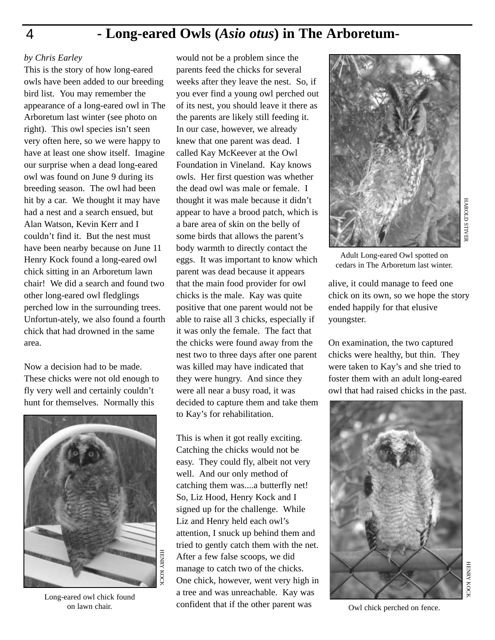### **- Long-eared Owls (***Asio otus***) in The Arboretum-**

### *by Chris Earley*

This is the story of how long-eared owls have been added to our breeding bird list. You may remember the appearance of a long-eared owl in The Arboretum last winter (see photo on right). This owl species isn't seen very often here, so we were happy to have at least one show itself. Imagine our surprise when a dead long-eared owl was found on June 9 during its breeding season. The owl had been hit by a car. We thought it may have had a nest and a search ensued, but Alan Watson, Kevin Kerr and I couldn't find it. But the nest must have been nearby because on June 11 Henry Kock found a long-eared owl chick sitting in an Arboretum lawn chair! We did a search and found two other long-eared owl fledglings perched low in the surrounding trees. Unfortun-ately, we also found a fourth chick that had drowned in the same area.

Now a decision had to be made. These chicks were not old enough to fly very well and certainly couldn't hunt for themselves. Normally this



Long-eared owl chick found on lawn chair.

would not be a problem since the parents feed the chicks for several weeks after they leave the nest. So, if you ever find a young owl perched out of its nest, you should leave it there as the parents are likely still feeding it. In our case, however, we already knew that one parent was dead. I called Kay McKeever at the Owl Foundation in Vineland. Kay knows owls. Her first question was whether the dead owl was male or female. I thought it was male because it didn't appear to have a brood patch, which is a bare area of skin on the belly of some birds that allows the parent's body warmth to directly contact the eggs. It was important to know which parent was dead because it appears that the main food provider for owl chicks is the male. Kay was quite positive that one parent would not be able to raise all 3 chicks, especially if it was only the female. The fact that the chicks were found away from the nest two to three days after one parent was killed may have indicated that they were hungry. And since they were all near a busy road, it was decided to capture them and take them to Kay's for rehabilitation.

This is when it got really exciting. Catching the chicks would not be easy. They could fly, albeit not very well. And our only method of catching them was....a butterfly net! So, Liz Hood, Henry Kock and I signed up for the challenge. While Liz and Henry held each owl's attention, I snuck up behind them and tried to gently catch them with the net. After a few false scoops, we did manage to catch two of the chicks. One chick, however, went very high in a tree and was unreachable. Kay was confident that if the other parent was



Adult Long-eared Owl spotted on cedars in The Arboretum last winter.

alive, it could manage to feed one chick on its own, so we hope the story ended happily for that elusive youngster.

On examination, the two captured chicks were healthy, but thin. They were taken to Kay's and she tried to foster them with an adult long-eared owl that had raised chicks in the past.



Owl chick perched on fence.

4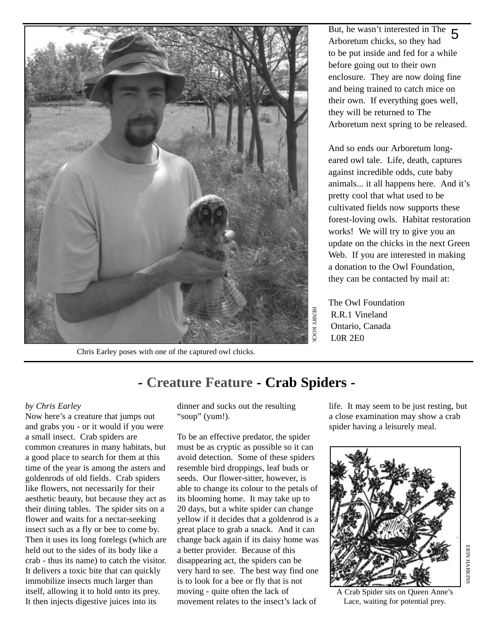

Chris Earley poses with one of the captured owl chicks.

But, he wasn't interested in The Arboretum chicks, so they had to be put inside and fed for a while before going out to their own enclosure. They are now doing fine and being trained to catch mice on their own. If everything goes well, they will be returned to The Arboretum next spring to be released. 5

And so ends our Arboretum longeared owl tale. Life, death, captures against incredible odds, cute baby animals... it all happens here. And it's pretty cool that what used to be cultivated fields now supports these forest-loving owls. Habitat restoration works! We will try to give you an update on the chicks in the next Green Web. If you are interested in making a donation to the Owl Foundation, they can be contacted by mail at:

The Owl Foundation R.R.1 Vineland Ontario, Canada L0R 2E0

### **- Creature Feature - Crab Spiders -**

### *by Chris Earley*

Now here's a creature that jumps out and grabs you - or it would if you were a small insect. Crab spiders are common creatures in many habitats, but a good place to search for them at this time of the year is among the asters and goldenrods of old fields. Crab spiders like flowers, not necessarily for their aesthetic beauty, but because they act as their dining tables. The spider sits on a flower and waits for a nectar-seeking insect such as a fly or bee to come by. Then it uses its long forelegs (which are held out to the sides of its body like a crab - thus its name) to catch the visitor. It delivers a toxic bite that can quickly immobilize insects much larger than itself, allowing it to hold onto its prey. It then injects digestive juices into its

dinner and sucks out the resulting "soup" (yum!).

To be an effective predator, the spider must be as cryptic as possible so it can avoid detection. Some of these spiders resemble bird droppings, leaf buds or seeds. Our flower-sitter, however, is able to change its colour to the petals of its blooming home. It may take up to 20 days, but a white spider can change yellow if it decides that a goldenrod is a great place to grab a snack. And it can change back again if its daisy home was a better provider. Because of this disappearing act, the spiders can be very hard to see. The best way find one is to look for a bee or fly that is not moving - quite often the lack of movement relates to the insect's lack of

life. It may seem to be just resting, but a close examination may show a crab spider having a leisurely meal.



A Crab Spider sits on Queen Anne's Lace, waiting for potential prey.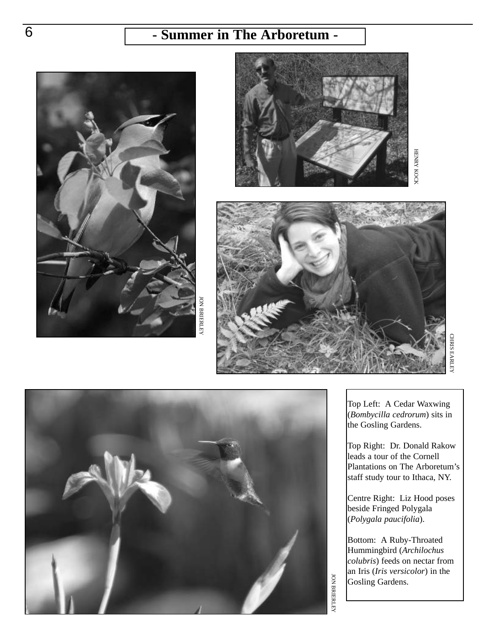# 6 **- Summer in The Arboretum -**



**DINBERLEY** BRIERLEY





CHRIS EARLEY EARLEY



Top Left: A Cedar Waxwing (*Bombycilla cedrorum*) sits in the Gosling Gardens.

Top Right: Dr. Donald Rakow leads a tour of the Cornell Plantations on The Arboretum's staff study tour to Ithaca, NY.

Centre Right: Liz Hood poses beside Fringed Polygala (*Polygala paucifolia*).

Bottom: A Ruby-Throated Hummingbird (*Archilochus colubris*) feeds on nectar from an Iris (*Iris versicolor*) in the Gosling Gardens.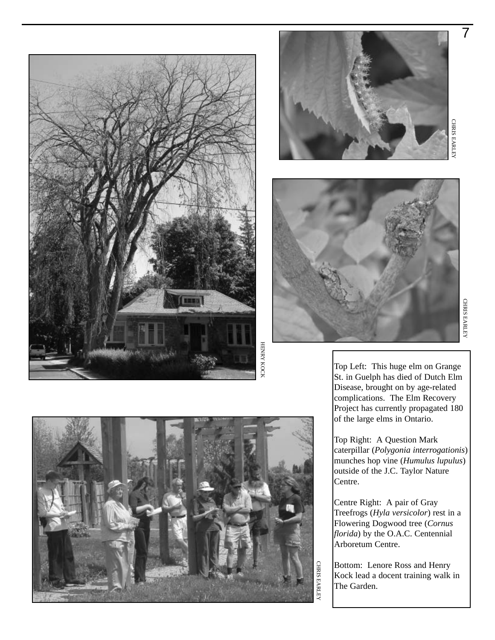





Top Left: This huge elm on Grange St. in Guelph has died of Dutch Elm Disease, brought on by age-related complications. The Elm Recovery Project has currently propagated 180 of the large elms in Ontario.

Top Right: A Question Mark caterpillar (*Polygonia interrogationis*) munches hop vine (*Humulus lupulus*) outside of the J.C. Taylor Nature Centre.

Centre Right: A pair of Gray Treefrogs (*Hyla versicolor*) rest in a Flowering Dogwood tree (*Cornus florida*) by the O.A.C. Centennial Arboretum Centre.

Bottom: Lenore Ross and Henry Kock lead a docent training walk in The Garden.



7

EARLEY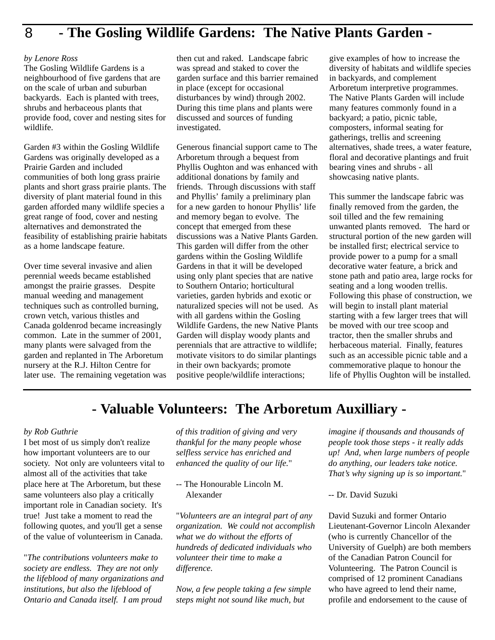#### 8 **- The Gosling Wildlife Gardens: The Native Plants Garden -**

#### *by Lenore Ross*

The Gosling Wildlife Gardens is a neighbourhood of five gardens that are on the scale of urban and suburban backyards. Each is planted with trees, shrubs and herbaceous plants that provide food, cover and nesting sites for wildlife.

Garden #3 within the Gosling Wildlife Gardens was originally developed as a Prairie Garden and included communities of both long grass prairie plants and short grass prairie plants. The diversity of plant material found in this garden afforded many wildlife species a great range of food, cover and nesting alternatives and demonstrated the feasibility of establishing prairie habitats as a home landscape feature.

Over time several invasive and alien perennial weeds became established amongst the prairie grasses. Despite manual weeding and management techniques such as controlled burning, crown vetch, various thistles and Canada goldenrod became increasingly common. Late in the summer of 2001, many plants were salvaged from the garden and replanted in The Arboretum nursery at the R.J. Hilton Centre for later use. The remaining vegetation was then cut and raked. Landscape fabric was spread and staked to cover the garden surface and this barrier remained in place (except for occasional disturbances by wind) through 2002. During this time plans and plants were discussed and sources of funding investigated.

Generous financial support came to The Arboretum through a bequest from Phyllis Oughton and was enhanced with additional donations by family and friends. Through discussions with staff and Phyllis' family a preliminary plan for a new garden to honour Phyllis' life and memory began to evolve. The concept that emerged from these discussions was a Native Plants Garden. This garden will differ from the other gardens within the Gosling Wildlife Gardens in that it will be developed using only plant species that are native to Southern Ontario; horticultural varieties, garden hybrids and exotic or naturalized species will not be used. As with all gardens within the Gosling Wildlife Gardens, the new Native Plants Garden will display woody plants and perennials that are attractive to wildlife; motivate visitors to do similar plantings in their own backyards; promote positive people/wildlife interactions;

give examples of how to increase the diversity of habitats and wildlife species in backyards, and complement Arboretum interpretive programmes. The Native Plants Garden will include many features commonly found in a backyard; a patio, picnic table, composters, informal seating for gatherings, trellis and screening alternatives, shade trees, a water feature, floral and decorative plantings and fruit bearing vines and shrubs - all showcasing native plants.

This summer the landscape fabric was finally removed from the garden, the soil tilled and the few remaining unwanted plants removed. The hard or structural portion of the new garden will be installed first; electrical service to provide power to a pump for a small decorative water feature, a brick and stone path and patio area, large rocks for seating and a long wooden trellis. Following this phase of construction, we will begin to install plant material starting with a few larger trees that will be moved with our tree scoop and tractor, then the smaller shrubs and herbaceous material. Finally, features such as an accessible picnic table and a commemorative plaque to honour the life of Phyllis Oughton will be installed.

### **- Valuable Volunteers: The Arboretum Auxilliary -**

### *by Rob Guthrie*

I bet most of us simply don't realize how important volunteers are to our society. Not only are volunteers vital to almost all of the activities that take place here at The Arboretum, but these same volunteers also play a critically important role in Canadian society. It's true! Just take a moment to read the following quotes, and you'll get a sense of the value of volunteerism in Canada.

"*The contributions volunteers make to society are endless. They are not only the lifeblood of many organizations and institutions, but also the lifeblood of Ontario and Canada itself. I am proud*

*of this tradition of giving and very thankful for the many people whose selfless service has enriched and enhanced the quality of our life.*"

-- The Honourable Lincoln M. Alexander

"*Volunteers are an integral part of any organization. We could not accomplish what we do without the efforts of hundreds of dedicated individuals who volunteer their time to make a difference.*

*Now, a few people taking a few simple steps might not sound like much, but*

*imagine if thousands and thousands of people took those steps - it really adds up! And, when large numbers of people do anything, our leaders take notice. That's why signing up is so important.*"

-- Dr. David Suzuki

David Suzuki and former Ontario Lieutenant-Governor Lincoln Alexander (who is currently Chancellor of the University of Guelph) are both members of the Canadian Patron Council for Volunteering. The Patron Council is comprised of 12 prominent Canadians who have agreed to lend their name, profile and endorsement to the cause of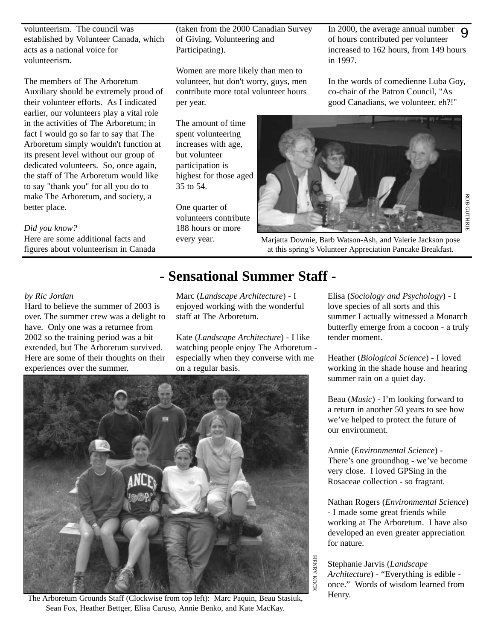volunteerism. The council was established by Volunteer Canada, which acts as a national voice for volunteerism.

The members of The Arboretum Auxiliary should be extremely proud of their volunteer efforts. As I indicated earlier, our volunteers play a vital role in the activities of The Arboretum; in fact I would go so far to say that The Arboretum simply wouldn't function at its present level without our group of dedicated volunteers. So, once again, the staff of The Arboretum would like to say "thank you" for all you do to make The Arboretum, and society, a better place.

### *Did you know?*

Here are some additional facts and figures about volunteerism in Canada

#### *by Ric Jordan*

Hard to believe the summer of 2003 is over. The summer crew was a delight to have. Only one was a returnee from 2002 so the training period was a bit extended, but The Arboretum survived. Here are some of their thoughts on their experiences over the summer.

(taken from the 2000 Canadian Survey of Giving, Volunteering and Participating).

Women are more likely than men to volunteer, but don't worry, guys, men contribute more total volunteer hours per year.

The amount of time spent volunteering increases with age, but volunteer participation is highest for those aged 35 to 54.

One quarter of volunteers contribute 188 hours or more every year.

In 2000, the average annual number of hours contributed per volunteer increased to 162 hours, from 149 hours in 1997. 9

In the words of comedienne Luba Goy, co-chair of the Patron Council, "As good Canadians, we volunteer, eh?!"



Marjatta Downie, Barb Watson-Ash, and Valerie Jackson pose at this spring's Volunteer Appreciation Pancake Breakfast.

### **- Sensational Summer Staff -**

Marc (*Landscape Architecture*) - I enjoyed working with the wonderful staff at The Arboretum.

Kate (*Landscape Architecture*) - I like watching people enjoy The Arboretum especially when they converse with me on a regular basis.



The Arboretum Grounds Staff (Clockwise from top left): Marc Paquin, Beau Stasiuk, Sean Fox, Heather Bettger, Elisa Caruso, Annie Benko, and Kate MacKay.

Elisa (*Sociology and Psychology*) - I love species of all sorts and this summer I actually witnessed a Monarch butterfly emerge from a cocoon - a truly tender moment.

Heather (*Biological Science*) - I loved working in the shade house and hearing summer rain on a quiet day.

Beau (*Music*) - I'm looking forward to a return in another 50 years to see how we've helped to protect the future of our environment.

Annie (*Environmental Science*) - There's one groundhog - we've become very close. I loved GPSing in the Rosaceae collection - so fragrant.

Nathan Rogers (*Environmental Science*) - I made some great friends while working at The Arboretum. I have also developed an even greater appreciation for nature.

Stephanie Jarvis (*Landscape Architecture*) - "Everything is edible once." Words of wisdom learned from Henry.

HENRY KOCK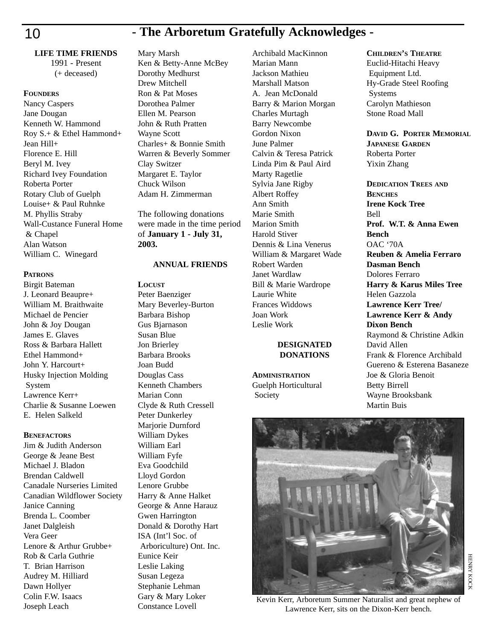## 10 **- The Arboretum Gratefully Acknowledges -**

**LIFE TIME FRIENDS** 1991 - Present

### (+ deceased)

**FOUNDERS** Nancy Caspers Jane Dougan Kenneth W. Hammond Roy S.+ & Ethel Hammond+ Jean Hill+ Florence E. Hill Beryl M. Ivey Richard Ivey Foundation Roberta Porter Rotary Club of Guelph Louise+ & Paul Ruhnke M. Phyllis Straby Wall-Custance Funeral Home & Chapel Alan Watson William C. Winegard

### **PATRONS**

Birgit Bateman J. Leonard Beaupre+ William M. Braithwaite Michael de Pencier John & Joy Dougan James E. Glaves Ross & Barbara Hallett Ethel Hammond+ John Y. Harcourt+ Husky Injection Molding System Lawrence Kerr+ Charlie & Susanne Loewen E. Helen Salkeld

### **BENEFACTORS**

Jim & Judith Anderson George & Jeane Best Michael J. Bladon Brendan Caldwell Canadale Nurseries Limited Canadian Wildflower Society Janice Canning Brenda L. Coomber Janet Dalgleish Vera Geer Lenore & Arthur Grubbe+ Rob & Carla Guthrie T. Brian Harrison Audrey M. Hilliard Dawn Hollyer Colin F.W. Isaacs Joseph Leach

### Mary Marsh

Ken & Betty-Anne McBey Dorothy Medhurst Drew Mitchell Ron & Pat Moses Dorothea Palmer Ellen M. Pearson John & Ruth Pratten Wayne Scott Charles+ & Bonnie Smith Warren & Beverly Sommer Clay Switzer Margaret E. Taylor Chuck Wilson Adam H. Zimmerman

The following donations were made in the time period of **January 1 - July 31, 2003.**

### **ANNUAL FRIENDS**

**LOCUST** Peter Baenziger Mary Beverley-Burton Barbara Bishop Gus Bjarnason Susan Blue Jon Brierley Barbara Brooks Joan Budd Douglas Cass Kenneth Chambers Marian Conn Clyde & Ruth Cressell Peter Dunkerley Marjorie Durnford William Dykes William Earl William Fyfe Eva Goodchild Lloyd Gordon Lenore Grubbe Harry & Anne Halket George & Anne Harauz Gwen Harrington Donald & Dorothy Hart ISA (Int'l Soc. of Arboriculture) Ont. Inc. Eunice Keir Leslie Laking Susan Legeza Stephanie Lehman Gary & Mary Loker Constance Lovell

Archibald MacKinnon Marian Mann Jackson Mathieu Marshall Matson A. Jean McDonald Barry & Marion Morgan Charles Murtagh Barry Newcombe Gordon Nixon June Palmer Calvin & Teresa Patrick Linda Pim & Paul Aird Marty Ragetlie Sylvia Jane Rigby Albert Roffey Ann Smith Marie Smith Marion Smith Harold Stiver Dennis & Lina Venerus William & Margaret Wade Robert Warden Janet Wardlaw Bill & Marie Wardrope Laurie White Frances Widdows Joan Work Leslie Work

### **DESIGNATED DONATIONS**

**ADMINISTRATION** Guelph Horticultural Society

### **CHILDREN'S THEATRE**

Euclid-Hitachi Heavy Equipment Ltd. Hy-Grade Steel Roofing Systems Carolyn Mathieson Stone Road Mall

**DAVID G. PORTER MEMORIAL JAPANESE GARDEN** Roberta Porter Yixin Zhang

**DEDICATION TREES AND BENCHES Irene Kock Tree** Bell **Prof. W.T. & Anna Ewen Bench** OAC '70A **Reuben & Amelia Ferraro Dasman Bench** Dolores Ferraro **Harry & Karus Miles Tree** Helen Gazzola **Lawrence Kerr Tree/ Lawrence Kerr & Andy Dixon Bench** Raymond & Christine Adkin David Allen Frank & Florence Archibald Guereno & Esterena Basaneze Joe & Gloria Benoit Betty Birrell Wayne Brooksbank Martin Buis



Kevin Kerr, Arboretum Summer Naturalist and great nephew of Lawrence Kerr, sits on the Dixon-Kerr bench.

HENRY KOCK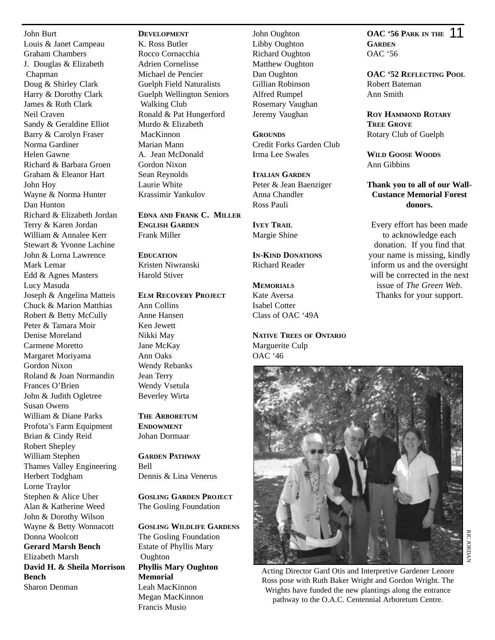John Burt Louis & Janet Campeau Graham Chambers J. Douglas & Elizabeth Chapman Doug & Shirley Clark Harry & Dorothy Clark James & Ruth Clark Neil Craven Sandy & Geraldine Elliot Barry & Carolyn Fraser Norma Gardiner Helen Gawne Richard & Barbara Groen Graham & Eleanor Hart John Hoy Wayne & Norma Hunter Dan Hunton Richard & Elizabeth Jordan Terry & Karen Jordan William & Annalee Kerr Stewart & Yvonne Lachine John & Lorna Lawrence Mark Lemar Edd & Agnes Masters Lucy Masuda Joseph & Angelina Matteis Chuck & Marion Matthias Robert & Betty McCully Peter & Tamara Moir Denise Moreland Carmene Moretto Margaret Moriyama Gordon Nixon Roland & Joan Normandin Frances O'Brien John & Judith Ogletree Susan Owens William & Diane Parks Profota's Farm Equipment Brian & Cindy Reid Robert Shepley William Stephen Thames Valley Engineering Herbert Todgham Lorne Traylor Stephen & Alice Uher Alan & Katherine Weed John & Dorothy Wilson Wayne & Betty Wonnacott Donna Woolcott **Gerard Marsh Bench** Elizabeth Marsh **David H. & Sheila Morrison Bench** Sharon Denman

### **DEVELOPMENT**

K. Ross Butler Rocco Cornacchia Adrien Cornelisse Michael de Pencier Guelph Field Naturalists Guelph Wellington Seniors Walking Club Ronald & Pat Hungerford Murdo & Elizabeth MacKinnon Marian Mann A. Jean McDonald Gordon Nixon Sean Reynolds Laurie White Krassimir Yankulov

**EDNA AND FRANK C. MILLER ENGLISH GARDEN** Frank Miller

**EDUCATION** Kristen Niwranski Harold Stiver

### **ELM RECOVERY PROJECT**

Ann Collins Anne Hansen Ken Jewett Nikki May Jane McKay Ann Oaks Wendy Rebanks Jean Terry Wendy Vsetula Beverley Wirta

**THE ARBORETUM ENDOWMENT** Johan Dormaar

**GARDEN PATHWAY** Bell Dennis & Lina Venerus

**GOSLING GARDEN PROJECT** The Gosling Foundation

**GOSLING WILDLIFE GARDENS** The Gosling Foundation Estate of Phyllis Mary Oughton **Phyllis Mary Oughton Memorial** Leah MacKinnon Megan MacKinnon Francis Musio

John Oughton Libby Oughton Richard Oughton Matthew Oughton Dan Oughton Gillian Robinson Alfred Rumpel Rosemary Vaughan Jeremy Vaughan

**GROUNDS** Credit Forks Garden Club Irma Lee Swales

**ITALIAN GARDEN** Peter & Jean Baenziger Anna Chandler Ross Pauli

**IVEY TRAIL** Margie Shine

**IN-KIND DONATIONS** Richard Reader

### **MEMORIALS**

Kate Aversa Isabel Cotter Class of OAC '49A

**NATIVE TREES OF ONTARIO** Marguerite Culp OAC '46

**OAC** '56 PARK IN THE 11 **GARDEN** OAC '56

**OAC '52 REFLECTING POOL** Robert Bateman Ann Smith

**ROY HAMMOND ROTARY TREE GROVE** Rotary Club of Guelph

**WILD GOOSE WOODS** Ann Gibbins

### **Thank you to all of our Wall-Custance Memorial Forest donors.**

Every effort has been made to acknowledge each donation. If you find that your name is missing, kindly inform us and the oversight will be corrected in the next issue of *The Green Web*. Thanks for your support.

JORDAN